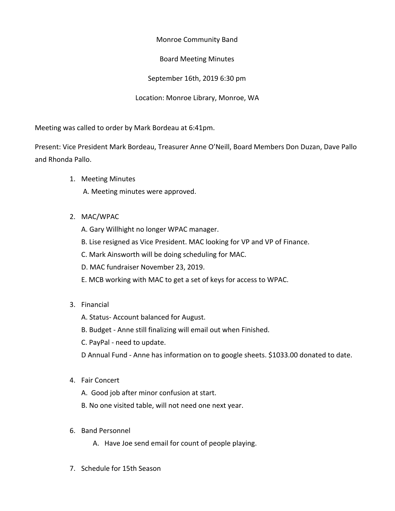Monroe Community Band

Board Meeting Minutes

September 16th, 2019 6:30 pm

Location: Monroe Library, Monroe, WA

Meeting was called to order by Mark Bordeau at 6:41pm.

Present: Vice President Mark Bordeau, Treasurer Anne O'Neill, Board Members Don Duzan, Dave Pallo and Rhonda Pallo.

1. Meeting Minutes

A. Meeting minutes were approved.

- 2. MAC/WPAC
	- A. Gary Willhight no longer WPAC manager.
	- B. Lise resigned as Vice President. MAC looking for VP and VP of Finance.
	- C. Mark Ainsworth will be doing scheduling for MAC.
	- D. MAC fundraiser November 23, 2019.
	- E. MCB working with MAC to get a set of keys for access to WPAC.
- 3. Financial
	- A. Status- Account balanced for August.
	- B. Budget Anne still finalizing will email out when Finished.
	- C. PayPal need to update.

D Annual Fund - Anne has information on to google sheets. \$1033.00 donated to date.

- 4. Fair Concert
	- A. Good job after minor confusion at start.
	- B. No one visited table, will not need one next year.
- 6. Band Personnel
	- A. Have Joe send email for count of people playing.
- 7. Schedule for 15th Season